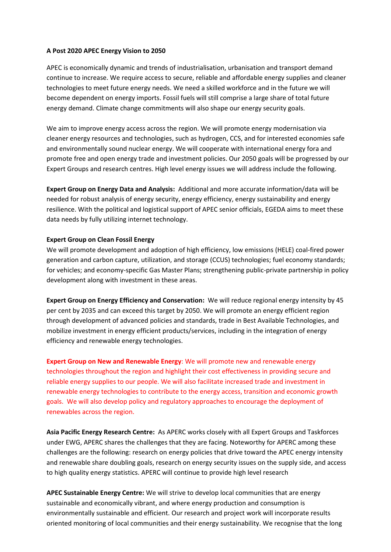## **A Post 2020 APEC Energy Vision to 2050**

APEC is economically dynamic and trends of industrialisation, urbanisation and transport demand continue to increase. We require access to secure, reliable and affordable energy supplies and cleaner technologies to meet future energy needs. We need a skilled workforce and in the future we will become dependent on energy imports. Fossil fuels will still comprise a large share of total future energy demand. Climate change commitments will also shape our energy security goals.

We aim to improve energy access across the region. We will promote energy modernisation via cleaner energy resources and technologies, such as hydrogen, CCS, and for interested economies safe and environmentally sound nuclear energy. We will cooperate with international energy fora and promote free and open energy trade and investment policies. Our 2050 goals will be progressed by our Expert Groups and research centres. High level energy issues we will address include the following.

**Expert Group on Energy Data and Analysis:** Additional and more accurate information/data will be needed for robust analysis of energy security, energy efficiency, energy sustainability and energy resilience. With the political and logistical support of APEC senior officials, EGEDA aims to meet these data needs by fully utilizing internet technology.

## **Expert Group on Clean Fossil Energy**

We will promote development and adoption of high efficiency, low emissions (HELE) coal-fired power generation and carbon capture, utilization, and storage (CCUS) technologies; fuel economy standards; for vehicles; and economy-specific Gas Master Plans; strengthening public-private partnership in policy development along with investment in these areas.

**Expert Group on Energy Efficiency and Conservation:** We will reduce regional energy intensity by 45 per cent by 2035 and can exceed this target by 2050. We will promote an energy efficient region through development of advanced policies and standards, trade in Best Available Technologies, and mobilize investment in energy efficient products/services, including in the integration of energy efficiency and renewable energy technologies.

**Expert Group on New and Renewable Energy**: We will promote new and renewable energy technologies throughout the region and highlight their cost effectiveness in providing secure and reliable energy supplies to our people. We will also facilitate increased trade and investment in renewable energy technologies to contribute to the energy access, transition and economic growth goals. We will also develop policy and regulatory approaches to encourage the deployment of renewables across the region.

**Asia Pacific Energy Research Centre:** As APERC works closely with all Expert Groups and Taskforces under EWG, APERC shares the challenges that they are facing. Noteworthy for APERC among these challenges are the following: research on energy policies that drive toward the APEC energy intensity and renewable share doubling goals, research on energy security issues on the supply side, and access to high quality energy statistics. APERC will continue to provide high level research

**APEC Sustainable Energy Centre:** We will strive to develop local communities that are energy sustainable and economically vibrant, and where energy production and consumption is environmentally sustainable and efficient. Our research and project work will incorporate results oriented monitoring of local communities and their energy sustainability. We recognise that the long